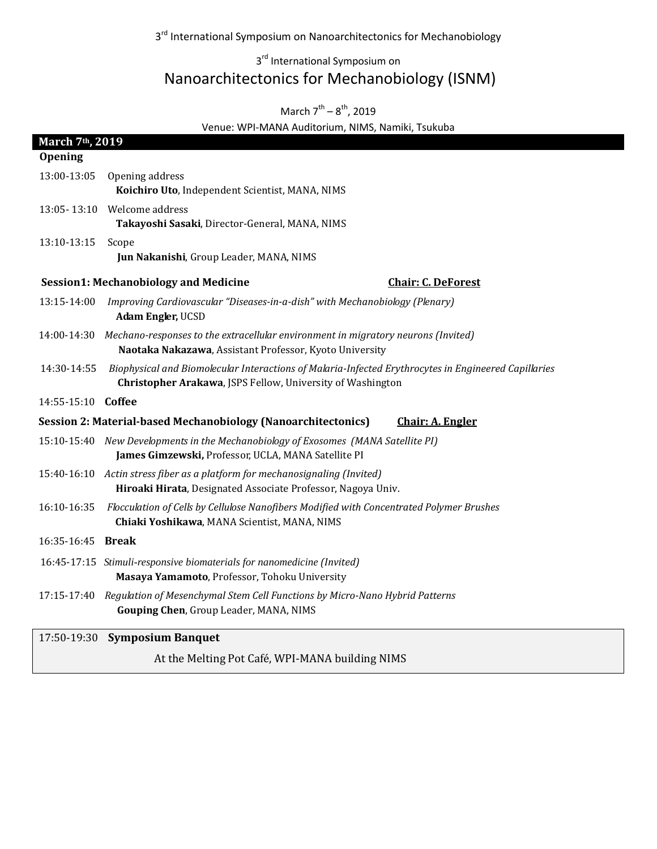3<sup>rd</sup> International Symposium on Nanoarchitectonics for Mechanobiology

## 3<sup>rd</sup> International Symposium on Nanoarchitectonics for Mechanobiology (ISNM)

# March  $7^{\text{th}} - 8^{\text{th}}$ , 2019

Venue: WPI-MANA Auditorium, NIMS, Namiki, Tsukuba

| March 7 <sup>th</sup> , 2019<br>Opening                                                  |                                                                                                                                                                    |
|------------------------------------------------------------------------------------------|--------------------------------------------------------------------------------------------------------------------------------------------------------------------|
| 13:00-13:05                                                                              | Opening address<br>Koichiro Uto, Independent Scientist, MANA, NIMS                                                                                                 |
|                                                                                          | 13:05-13:10 Welcome address<br>Takayoshi Sasaki, Director-General, MANA, NIMS                                                                                      |
| 13:10-13:15                                                                              | Scope<br>Jun Nakanishi, Group Leader, MANA, NIMS                                                                                                                   |
|                                                                                          | <b>Session1: Mechanobiology and Medicine</b><br><b>Chair: C. DeForest</b>                                                                                          |
|                                                                                          | 13:15-14:00 Improving Cardiovascular "Diseases-in-a-dish" with Mechanobiology (Plenary)<br>Adam Engler, UCSD                                                       |
|                                                                                          | 14:00-14:30 Mechano-responses to the extracellular environment in migratory neurons (Invited)<br>Naotaka Nakazawa, Assistant Professor, Kyoto University           |
| 14:30-14:55                                                                              | Biophysical and Biomolecular Interactions of Malaria-Infected Erythrocytes in Engineered Capillaries<br>Christopher Arakawa, JSPS Fellow, University of Washington |
| 14:55-15:10 Coffee                                                                       |                                                                                                                                                                    |
| Session 2: Material-based Mechanobiology (Nanoarchitectonics)<br><b>Chair: A. Engler</b> |                                                                                                                                                                    |
|                                                                                          | 15:10-15:40 New Developments in the Mechanobiology of Exosomes (MANA Satellite PI)<br>James Gimzewski, Professor, UCLA, MANA Satellite PI                          |
|                                                                                          | 15:40-16:10 Actin stress fiber as a platform for mechanosignaling (Invited)<br>Hiroaki Hirata, Designated Associate Professor, Nagoya Univ.                        |
| 16:10-16:35                                                                              | Flocculation of Cells by Cellulose Nanofibers Modified with Concentrated Polymer Brushes<br>Chiaki Yoshikawa, MANA Scientist, MANA, NIMS                           |
| 16:35-16:45 Break                                                                        |                                                                                                                                                                    |
|                                                                                          | 16:45-17:15 Stimuli-responsive biomaterials for nanomedicine (Invited)<br>Masaya Yamamoto, Professor, Tohoku University                                            |
|                                                                                          | 17:15-17:40 Regulation of Mesenchymal Stem Cell Functions by Micro-Nano Hybrid Patterns<br>Gouping Chen, Group Leader, MANA, NIMS                                  |
|                                                                                          | 17:50-19:30 Symposium Banquet                                                                                                                                      |

At the Melting Pot Café, WPI-MANA building NIMS